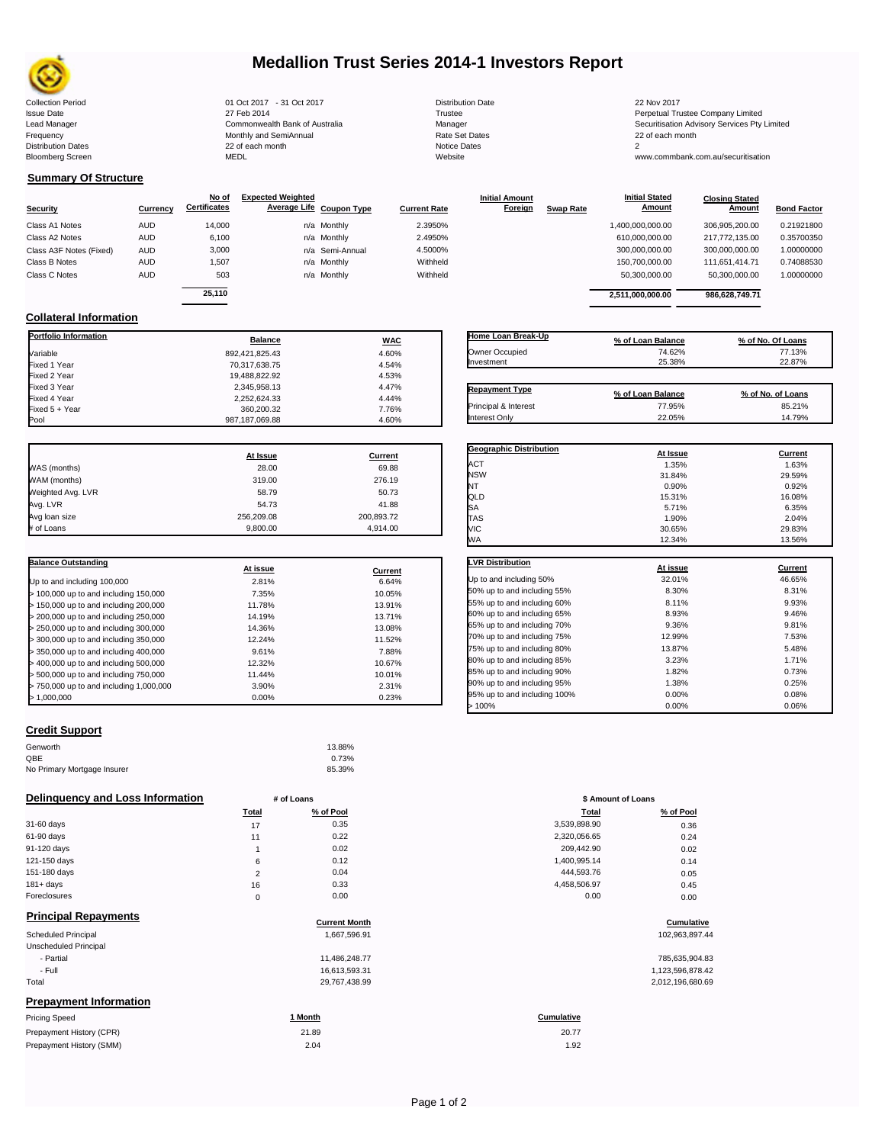

# **Medallion Trust Series 2014-1 Investors Report**

| lection Period  |
|-----------------|
| ue Date         |
| d Manager       |
| quency          |
| tribution Dates |
| omberg Screen   |

Collection Period 2017 1912 01 Oct 2017 - 31 Oct 2017<br>
1912 Sue Date 2014 27 Feb 2014 27 Feb 2014 Trustee 2014 22 Nov 2017<br>
22 Nov 2017 27 Feb 2014 27 Feb 2014 27 Trustee 2014 Manager Manager Securitisation Frequency 22 of each month Monthly and SemiAnnual Rate Set Dates 22 of each month 22 of each month 22 of each month<br>Distribution Dates 22 of each month 22 of each month 20 of each month and the Set Dates 20 of each of the Bloomberg Screen MEDL Website www.commbank.com.au/securitisation

2,252,624.33 4.44%<br>360,200.32 7.76%

| <b>Distribution Date</b> |
|--------------------------|
| Trustee                  |
| Manager                  |
| Rate Set Dates           |
| Notice Dates             |
| Website                  |
|                          |

27 Feb 2014 2014<br>Commonwealth Bank of Australia **Commonwealth Bank of Australia** Commonwealth Bank of Australia Lead Manager **Commonwealth Bank of Australia** Manager Manager Manager Securitisation Advisory Services Pty Limited<br>1991 Frequency Securitisation Advisory Services Pty Limited<br>1991 Distribution Dates Services Securitisation

> **Closing Stated Amount**

## **Summary Of Structure**

**Collateral Information**

|                         |            | No of               | <b>Expected Weighted</b> |              | <b>Initial Amount</b> |                  | <b>Initial Stated</b> | <b>Closing Stated</b> |                    |
|-------------------------|------------|---------------------|--------------------------|--------------|-----------------------|------------------|-----------------------|-----------------------|--------------------|
| Security                | Currency   | <b>Certificates</b> | Average Life Coupon Type | Current Rate | Foreign               | <b>Swap Rate</b> | <b>Amount</b>         | Amount                | <b>Bond Factor</b> |
| Class A1 Notes          | <b>AUD</b> | 14.000              | n/a Monthly              | 2.3950%      |                       |                  | 1,400,000,000.00      | 306.905.200.00        | 0.21921800         |
| Class A2 Notes          | <b>AUD</b> | 6,100               | n/a Monthly              | 2.4950%      |                       |                  | 610,000,000.00        | 217.772.135.00        | 0.35700350         |
| Class A3F Notes (Fixed) | AUD        | 3,000               | n/a Semi-Annual          | 4.5000%      |                       |                  | 300,000,000.00        | 300,000,000.00        | 1.00000000         |
| Class B Notes           | AUD        | 1.507               | n/a Monthly              | Withheld     |                       |                  | 150,700,000.00        | 111.651.414.71        | 0.74088530         |
| Class C Notes           | AUD        | 503                 | n/a Monthly              | Withheld     |                       |                  | 50,300,000.00         | 50,300,000.00         | 1.00000000         |
|                         |            | 25.110              |                          |              |                       |                  | 2.511.000.000.00      | 986,628,749.71        |                    |
|                         |            |                     |                          |              |                       |                  |                       |                       |                    |

**Portfolio Information Balance WAC** Variable 892,421,825.43 4.60% Fixed 1 Year 70,317,638.75 4.54% Fixed 2 Year 19,488,822.92 4.53% Fixed 3 Year 2,345,958.13 4.47%

Fixed 5 + Year 360,200.32 7.76%

987,187,069.88

| Home Loan Break-Up    | % of Loan Balance | % of No. Of Loans |
|-----------------------|-------------------|-------------------|
| Owner Occupied        | 74.62%            | 77.13%            |
| Investment            | 25.38%            | 22.87%            |
| <b>Repayment Type</b> | % of Loan Balance | % of No. of Loans |
| Principal & Interest  | 77.95%            | 85.21%            |
| Interest Only         | 22.05%            | 14.79%            |

**Geographic Distribution**<br> **ACT ACT ACT ACT ACT ACT ACT ACT ACT ACT ACT ACT ACT ACT ACT ACT ACT ACT ACT ACT ACT ACT ACT ACT ACT ACT ACT** ACT 1.35% 1.63% NSW 31.84% 29.59% NT  $0.90\%$  0.92% 0.92% QLD 15.31% 16.08%

**Initial Stated** 

| At Issue   | <b>Current</b> |
|------------|----------------|
| 28.00      | 69.88          |
| 319.00     | 276.19         |
| 58.79      | 50.73          |
| 54.73      | 41.88          |
| 256.209.08 | 200,893.72     |
| 9,800.00   | 4,914.00       |
|            |                |

| <b>Balance Outstanding</b>              | At issue | Current |
|-----------------------------------------|----------|---------|
| Up to and including 100,000             | 2.81%    | 6.64%   |
| $>$ 100,000 up to and including 150,000 | 7.35%    | 10.05%  |
| $>$ 150,000 up to and including 200,000 | 11.78%   | 13.91%  |
| > 200,000 up to and including 250,000   | 14.19%   | 13.71%  |
| > 250,000 up to and including 300,000   | 14.36%   | 13.08%  |
| > 300,000 up to and including 350,000   | 12.24%   | 11.52%  |
| > 350,000 up to and including 400,000   | 9.61%    | 7.88%   |
| > 400,000 up to and including 500,000   | 12.32%   | 10.67%  |
| > 500,000 up to and including 750,000   | 11.44%   | 10.01%  |
| > 750,000 up to and including 1,000,000 | 3.90%    | 2.31%   |
| >1.000.000                              | 0.00%    | 0.23%   |

## **Credit Support**

| Genworth                    | 13.88% |
|-----------------------------|--------|
| QBE                         | 0.73%  |
| No Primary Mortgage Insurer | 85.39% |

#### **Delinquency and Loss Information # of Loans**

|              | Total  | % of Pool | Total        | % of Pool |
|--------------|--------|-----------|--------------|-----------|
| 31-60 days   | 17     | 0.35      | 3,539,898.90 | 0.36      |
| 61-90 days   | 11     | 0.22      | 2,320,056.65 | 0.24      |
| 91-120 days  |        | 0.02      | 209,442.90   | 0.02      |
| 121-150 days | 6      | 0.12      | 1,400,995.14 | 0.14      |
| 151-180 days | $\sim$ | 0.04      | 444.593.76   | 0.05      |
| $181 + days$ | 16     | 0.33      | 4,458,506.97 | 0.45      |
| Foreclosures | 0      | 0.00      | 0.00         | 0.00      |
| _ _ _ _ _    |        |           |              |           |

#### **Principal Repayments**

| <b>Principal Repayments</b>   | <b>Current Month</b> | Cumulative        |
|-------------------------------|----------------------|-------------------|
| <b>Scheduled Principal</b>    | 1,667,596.91         | 102,963,897.44    |
| Unscheduled Principal         |                      |                   |
| - Partial                     | 11.486.248.77        | 785,635,904.83    |
| - Full                        | 16,613,593.31        | 1,123,596,878.42  |
| Total                         | 29,767,438.99        | 2,012,196,680.69  |
| <b>Prepayment Information</b> |                      |                   |
| <b>Pricing Speed</b>          | 1 Month              | <b>Cumulative</b> |

| Prepayment History (CPR) | 21.89 | 20.77 |
|--------------------------|-------|-------|
| Prepayment History (SMM) | 2.04  | 1.92  |

| SA                           | 5.71%    | 6.35%   |
|------------------------------|----------|---------|
| <b>TAS</b>                   | 1.90%    | 2.04%   |
| VIC                          | 30.65%   | 29.83%  |
| WA                           | 12.34%   | 13.56%  |
| <b>LVR Distribution</b>      | At issue | Current |
| Up to and including 50%      | 32.01%   | 46.65%  |
| 50% up to and including 55%  | 8.30%    | 8.31%   |
| 55% up to and including 60%  | 8.11%    | 9.93%   |
| 60% up to and including 65%  | 8.93%    | 9.46%   |
| 65% up to and including 70%  | 9.36%    | 9.81%   |
| 70% up to and including 75%  | 12.99%   | 7.53%   |
| 75% up to and including 80%  | 13.87%   | 5.48%   |
| 80% up to and including 85%  | 3.23%    | 1.71%   |
| 85% up to and including 90%  | 1.82%    | 0.73%   |
| 90% up to and including 95%  | 1.38%    | 0.25%   |
| 95% up to and including 100% | 0.00%    | 0.08%   |
| >100%                        | 0.00%    | 0.06%   |

|                | # of Loans |              | \$ Amount of Loans |  |  |
|----------------|------------|--------------|--------------------|--|--|
| Total          | % of Pool  | Total        | % of Pool          |  |  |
| 17             | 0.35       | 3,539,898.90 | 0.36               |  |  |
| 11             | 0.22       | 2,320,056.65 | 0.24               |  |  |
| 1              | 0.02       | 209,442.90   | 0.02               |  |  |
| 6              | 0.12       | 1,400,995.14 | 0.14               |  |  |
| $\overline{2}$ | 0.04       | 444,593.76   | 0.05               |  |  |
| 16             | 0.33       | 4,458,506.97 | 0.45               |  |  |
| $\mathbf 0$    | 0.00       | 0.00         | 0.00               |  |  |
|                |            |              |                    |  |  |

# **Current Month Cumulative**

| 785,635,904.83   |
|------------------|
| 1,123,596,878.42 |
| 2,012,196,680.69 |